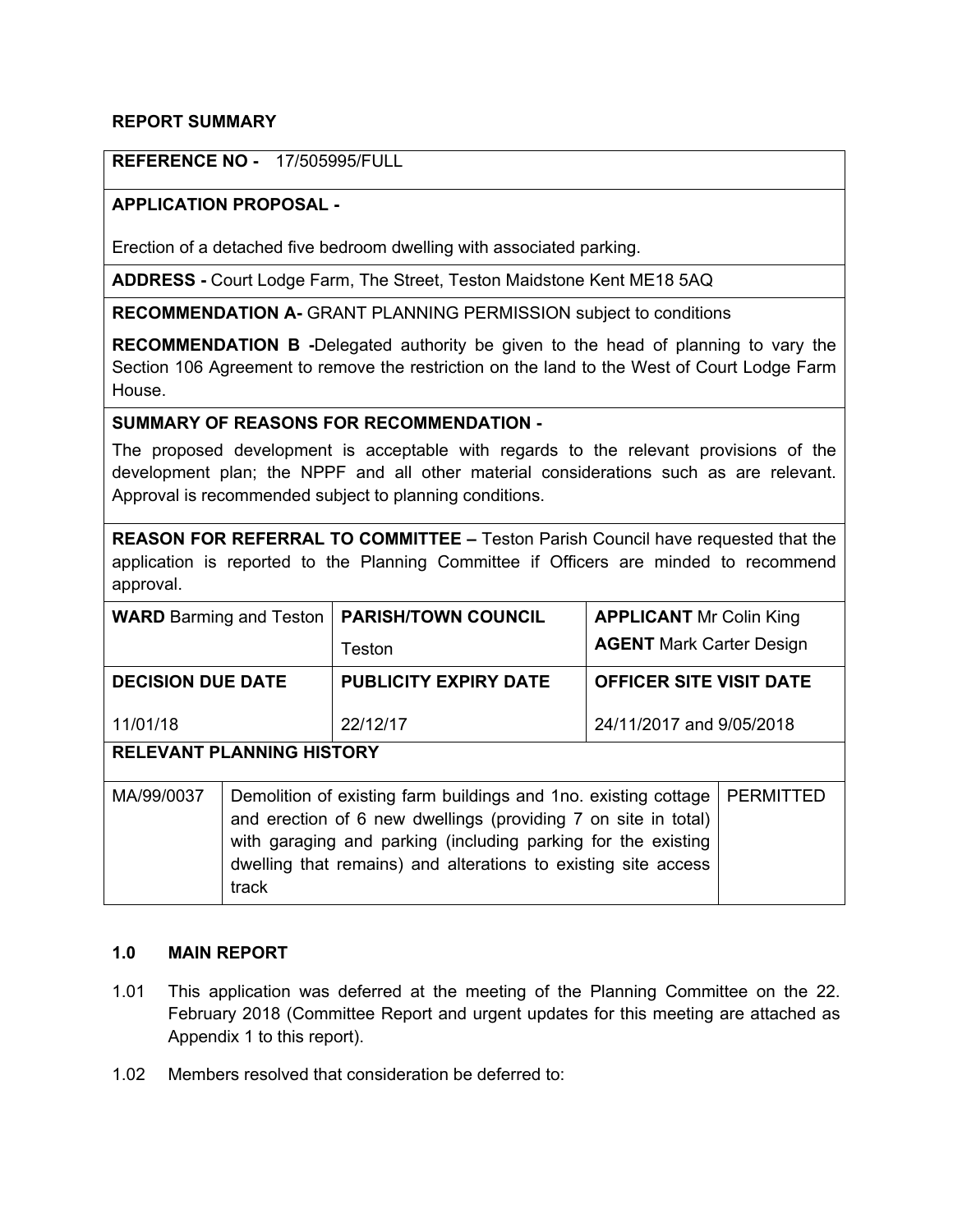### **REPORT SUMMARY**

## **REFERENCE NO -** 17/505995/FULL

# **APPLICATION PROPOSAL -**

Erection of a detached five bedroom dwelling with associated parking.

**ADDRESS -** Court Lodge Farm, The Street, Teston Maidstone Kent ME18 5AQ

**RECOMMENDATION A-** GRANT PLANNING PERMISSION subject to conditions

**RECOMMENDATION B -**Delegated authority be given to the head of planning to vary the Section 106 Agreement to remove the restriction on the land to the West of Court Lodge Farm House.

#### **SUMMARY OF REASONS FOR RECOMMENDATION -**

The proposed development is acceptable with regards to the relevant provisions of the development plan; the NPPF and all other material considerations such as are relevant. Approval is recommended subject to planning conditions.

|           |  |  |  |  |  | <b>REASON FOR REFERRAL TO COMMITTEE - Teston Parish Council have requested that the</b> |
|-----------|--|--|--|--|--|-----------------------------------------------------------------------------------------|
|           |  |  |  |  |  | application is reported to the Planning Committee if Officers are minded to recommend   |
| approval. |  |  |  |  |  |                                                                                         |

| <b>WARD</b> Barming and Teston   |                                                                                                                                                                                                                                                                                                   | <b>PARISH/TOWN COUNCIL</b>   | <b>APPLICANT Mr Colin King</b>  |  |  |  |  |  |  |
|----------------------------------|---------------------------------------------------------------------------------------------------------------------------------------------------------------------------------------------------------------------------------------------------------------------------------------------------|------------------------------|---------------------------------|--|--|--|--|--|--|
|                                  |                                                                                                                                                                                                                                                                                                   | Teston                       | <b>AGENT</b> Mark Carter Design |  |  |  |  |  |  |
| <b>DECISION DUE DATE</b>         |                                                                                                                                                                                                                                                                                                   | <b>PUBLICITY EXPIRY DATE</b> | <b>OFFICER SITE VISIT DATE</b>  |  |  |  |  |  |  |
| 11/01/18                         |                                                                                                                                                                                                                                                                                                   | 22/12/17                     | 24/11/2017 and 9/05/2018        |  |  |  |  |  |  |
| <b>RELEVANT PLANNING HISTORY</b> |                                                                                                                                                                                                                                                                                                   |                              |                                 |  |  |  |  |  |  |
| MA/99/0037                       | <b>PERMITTED</b><br>Demolition of existing farm buildings and 1no. existing cottage<br>and erection of 6 new dwellings (providing 7 on site in total)<br>with garaging and parking (including parking for the existing<br>dwelling that remains) and alterations to existing site access<br>track |                              |                                 |  |  |  |  |  |  |

## **1.0 MAIN REPORT**

- 1.01 This application was deferred at the meeting of the Planning Committee on the 22. February 2018 (Committee Report and urgent updates for this meeting are attached as Appendix 1 to this report).
- 1.02 Members resolved that consideration be deferred to: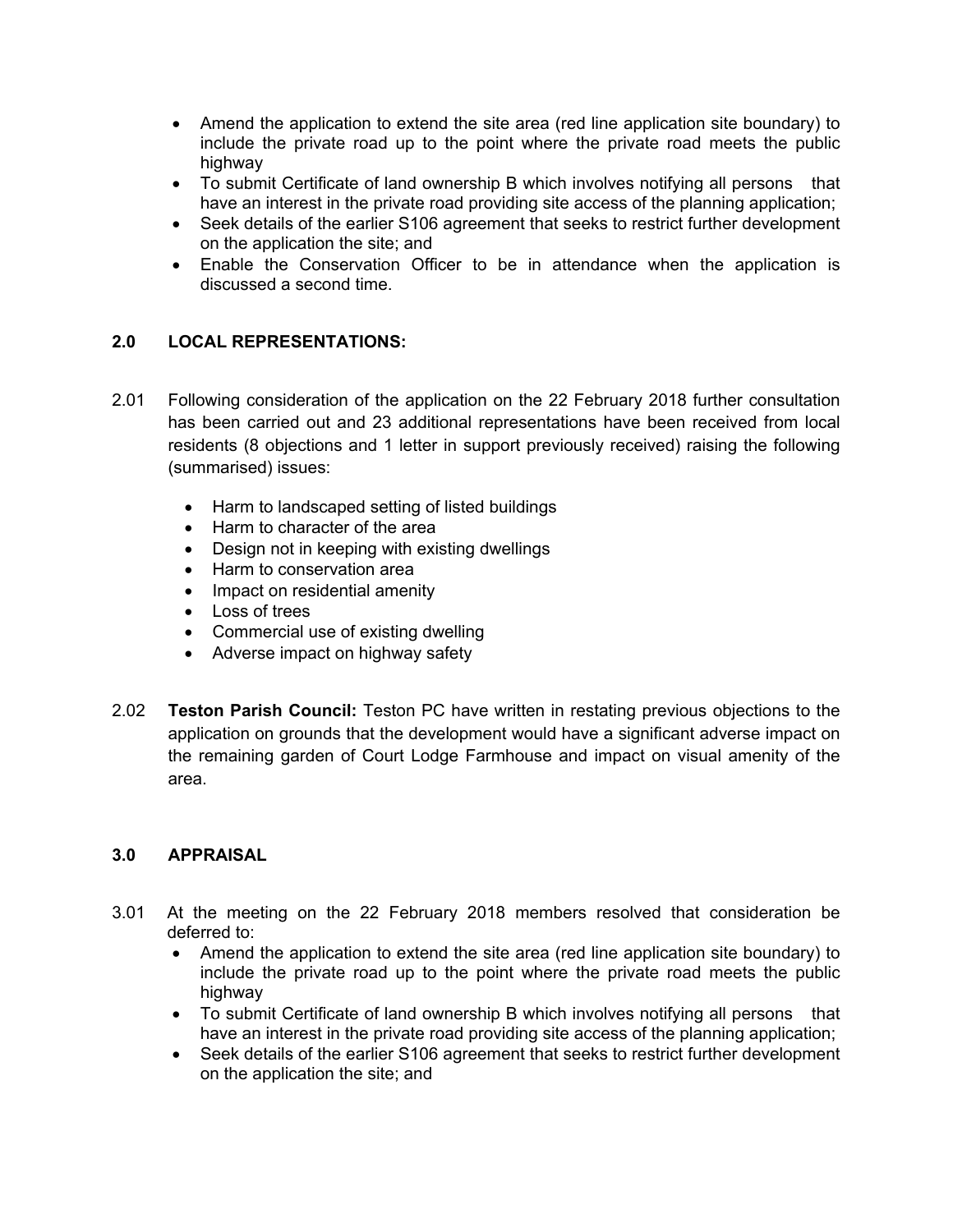- Amend the application to extend the site area (red line application site boundary) to include the private road up to the point where the private road meets the public highway
- To submit Certificate of land ownership B which involves notifying all persons that have an interest in the private road providing site access of the planning application;
- Seek details of the earlier S106 agreement that seeks to restrict further development on the application the site; and
- Enable the Conservation Officer to be in attendance when the application is discussed a second time.

# **2.0 LOCAL REPRESENTATIONS:**

- 2.01 Following consideration of the application on the 22 February 2018 further consultation has been carried out and 23 additional representations have been received from local residents (8 objections and 1 letter in support previously received) raising the following (summarised) issues:
	- Harm to landscaped setting of listed buildings
	- Harm to character of the area
	- Design not in keeping with existing dwellings
	- Harm to conservation area
	- Impact on residential amenity
	- Loss of trees
	- Commercial use of existing dwelling
	- Adverse impact on highway safety
- 2.02 **Teston Parish Council:** Teston PC have written in restating previous objections to the application on grounds that the development would have a significant adverse impact on the remaining garden of Court Lodge Farmhouse and impact on visual amenity of the area.

### **3.0 APPRAISAL**

- 3.01 At the meeting on the 22 February 2018 members resolved that consideration be deferred to:
	- Amend the application to extend the site area (red line application site boundary) to include the private road up to the point where the private road meets the public highway
	- To submit Certificate of land ownership B which involves notifying all persons that have an interest in the private road providing site access of the planning application;
	- Seek details of the earlier S106 agreement that seeks to restrict further development on the application the site; and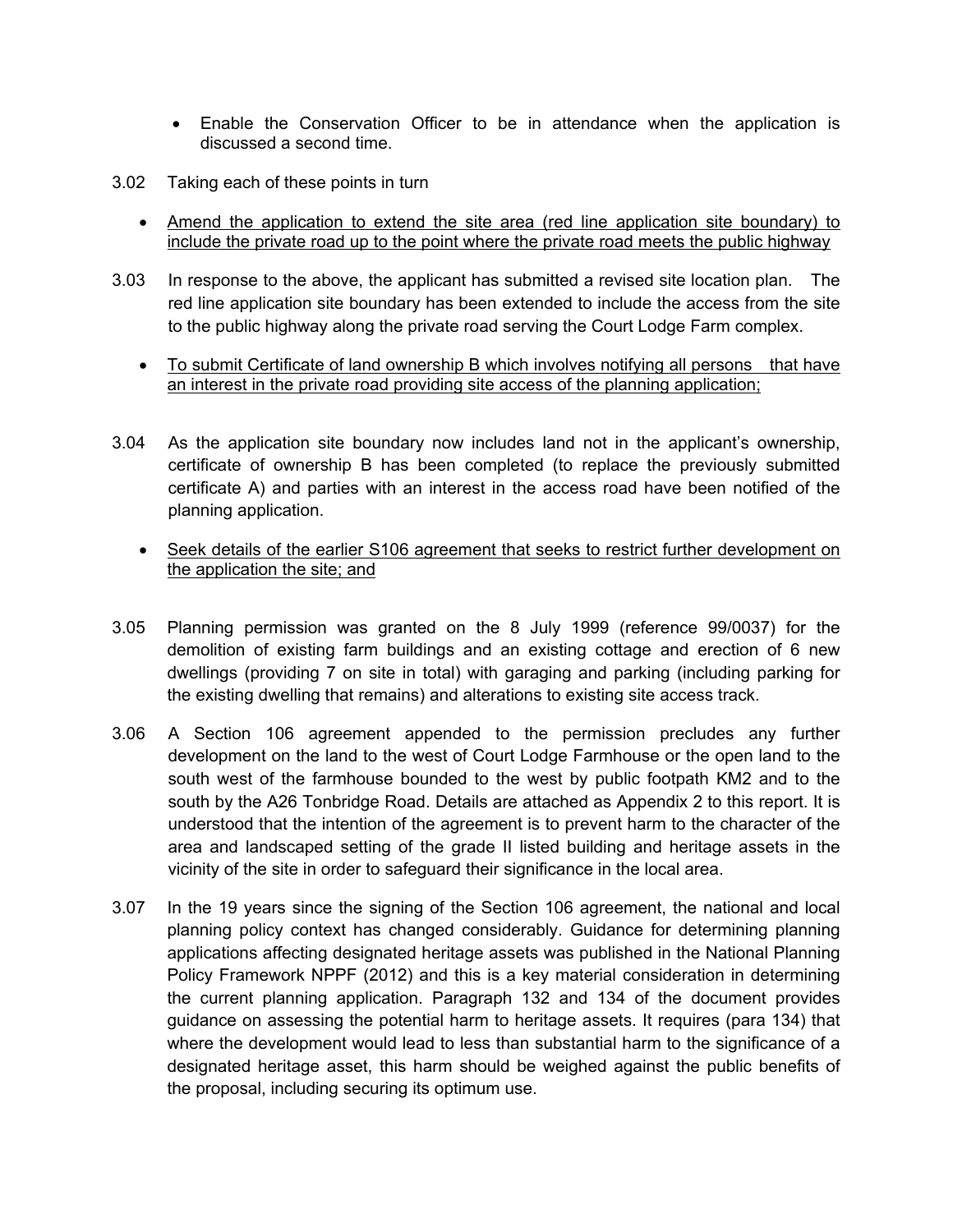- Enable the Conservation Officer to be in attendance when the application is discussed a second time.
- 3.02 Taking each of these points in turn
	- Amend the application to extend the site area (red line application site boundary) to include the private road up to the point where the private road meets the public highway
- 3.03 In response to the above, the applicant has submitted a revised site location plan. The red line application site boundary has been extended to include the access from the site to the public highway along the private road serving the Court Lodge Farm complex.
	- To submit Certificate of land ownership B which involves notifying all persons that have an interest in the private road providing site access of the planning application;
- 3.04 As the application site boundary now includes land not in the applicant's ownership, certificate of ownership B has been completed (to replace the previously submitted certificate A) and parties with an interest in the access road have been notified of the planning application.
	- Seek details of the earlier S106 agreement that seeks to restrict further development on the application the site; and
- 3.05 Planning permission was granted on the 8 July 1999 (reference 99/0037) for the demolition of existing farm buildings and an existing cottage and erection of 6 new dwellings (providing 7 on site in total) with garaging and parking (including parking for the existing dwelling that remains) and alterations to existing site access track.
- 3.06 A Section 106 agreement appended to the permission precludes any further development on the land to the west of Court Lodge Farmhouse or the open land to the south west of the farmhouse bounded to the west by public footpath KM2 and to the south by the A26 Tonbridge Road. Details are attached as Appendix 2 to this report. It is understood that the intention of the agreement is to prevent harm to the character of the area and landscaped setting of the grade II listed building and heritage assets in the vicinity of the site in order to safeguard their significance in the local area.
- 3.07 In the 19 years since the signing of the Section 106 agreement, the national and local planning policy context has changed considerably. Guidance for determining planning applications affecting designated heritage assets was published in the National Planning Policy Framework NPPF (2012) and this is a key material consideration in determining the current planning application. Paragraph 132 and 134 of the document provides guidance on assessing the potential harm to heritage assets. It requires (para 134) that where the development would lead to less than substantial harm to the significance of a designated heritage asset, this harm should be weighed against the public benefits of the proposal, including securing its optimum use.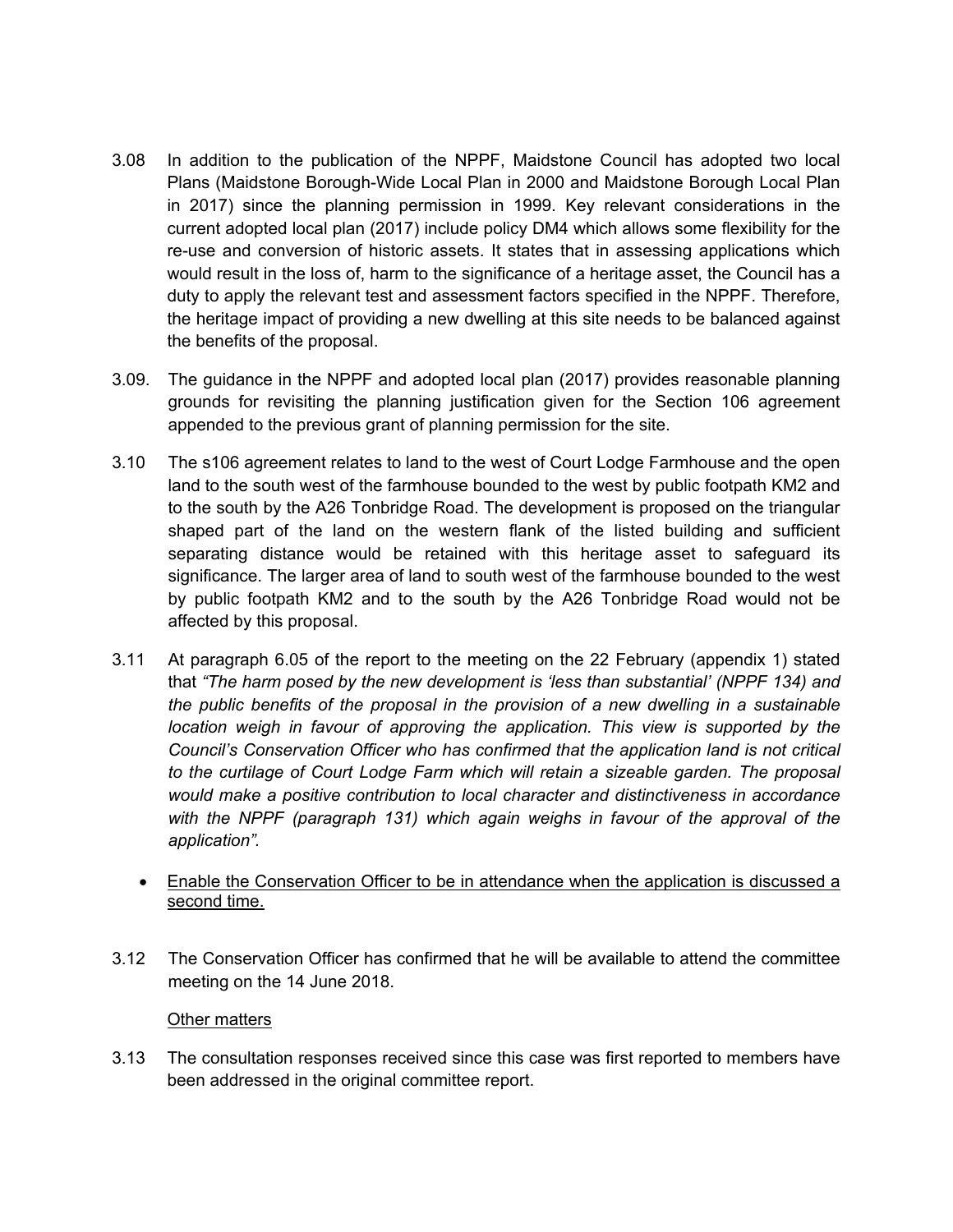- 3.08 In addition to the publication of the NPPF, Maidstone Council has adopted two local Plans (Maidstone Borough-Wide Local Plan in 2000 and Maidstone Borough Local Plan in 2017) since the planning permission in 1999. Key relevant considerations in the current adopted local plan (2017) include policy DM4 which allows some flexibility for the re-use and conversion of historic assets. It states that in assessing applications which would result in the loss of, harm to the significance of a heritage asset, the Council has a duty to apply the relevant test and assessment factors specified in the NPPF. Therefore, the heritage impact of providing a new dwelling at this site needs to be balanced against the benefits of the proposal.
- 3.09. The guidance in the NPPF and adopted local plan (2017) provides reasonable planning grounds for revisiting the planning justification given for the Section 106 agreement appended to the previous grant of planning permission for the site.
- 3.10 The s106 agreement relates to land to the west of Court Lodge Farmhouse and the open land to the south west of the farmhouse bounded to the west by public footpath KM2 and to the south by the A26 Tonbridge Road. The development is proposed on the triangular shaped part of the land on the western flank of the listed building and sufficient separating distance would be retained with this heritage asset to safeguard its significance. The larger area of land to south west of the farmhouse bounded to the west by public footpath KM2 and to the south by the A26 Tonbridge Road would not be affected by this proposal.
- 3.11 At paragraph 6.05 of the report to the meeting on the 22 February (appendix 1) stated that *"The harm posed by the new development is 'less than substantial' (NPPF 134) and the public benefits of the proposal in the provision of a new dwelling in a sustainable location weigh in favour of approving the application. This view is supported by the Council's Conservation Officer who has confirmed that the application land is not critical to the curtilage of Court Lodge Farm which will retain a sizeable garden. The proposal would make a positive contribution to local character and distinctiveness in accordance with the NPPF (paragraph 131) which again weighs in favour of the approval of the application".*
	- Enable the Conservation Officer to be in attendance when the application is discussed a second time.
- 3.12 The Conservation Officer has confirmed that he will be available to attend the committee meeting on the 14 June 2018.

### Other matters

3.13 The consultation responses received since this case was first reported to members have been addressed in the original committee report.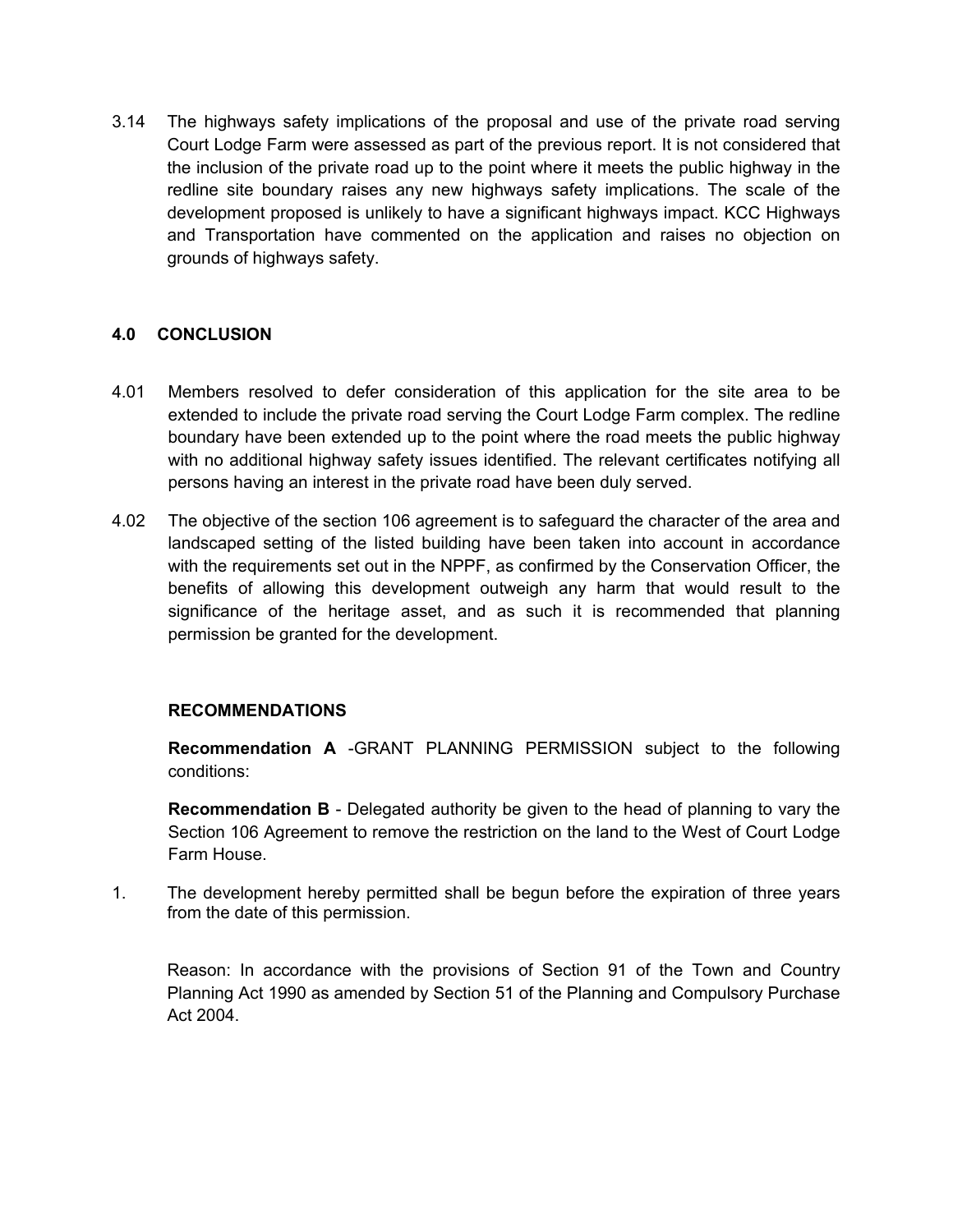3.14 The highways safety implications of the proposal and use of the private road serving Court Lodge Farm were assessed as part of the previous report. It is not considered that the inclusion of the private road up to the point where it meets the public highway in the redline site boundary raises any new highways safety implications. The scale of the development proposed is unlikely to have a significant highways impact. KCC Highways and Transportation have commented on the application and raises no objection on grounds of highways safety.

# **4.0 CONCLUSION**

- 4.01 Members resolved to defer consideration of this application for the site area to be extended to include the private road serving the Court Lodge Farm complex. The redline boundary have been extended up to the point where the road meets the public highway with no additional highway safety issues identified. The relevant certificates notifying all persons having an interest in the private road have been duly served.
- 4.02 The objective of the section 106 agreement is to safeguard the character of the area and landscaped setting of the listed building have been taken into account in accordance with the requirements set out in the NPPF, as confirmed by the Conservation Officer, the benefits of allowing this development outweigh any harm that would result to the significance of the heritage asset, and as such it is recommended that planning permission be granted for the development.

### **RECOMMENDATIONS**

**Recommendation A** -GRANT PLANNING PERMISSION subject to the following conditions:

**Recommendation B** - Delegated authority be given to the head of planning to vary the Section 106 Agreement to remove the restriction on the land to the West of Court Lodge Farm House.

1. The development hereby permitted shall be begun before the expiration of three years from the date of this permission.

Reason: In accordance with the provisions of Section 91 of the Town and Country Planning Act 1990 as amended by Section 51 of the Planning and Compulsory Purchase Act 2004.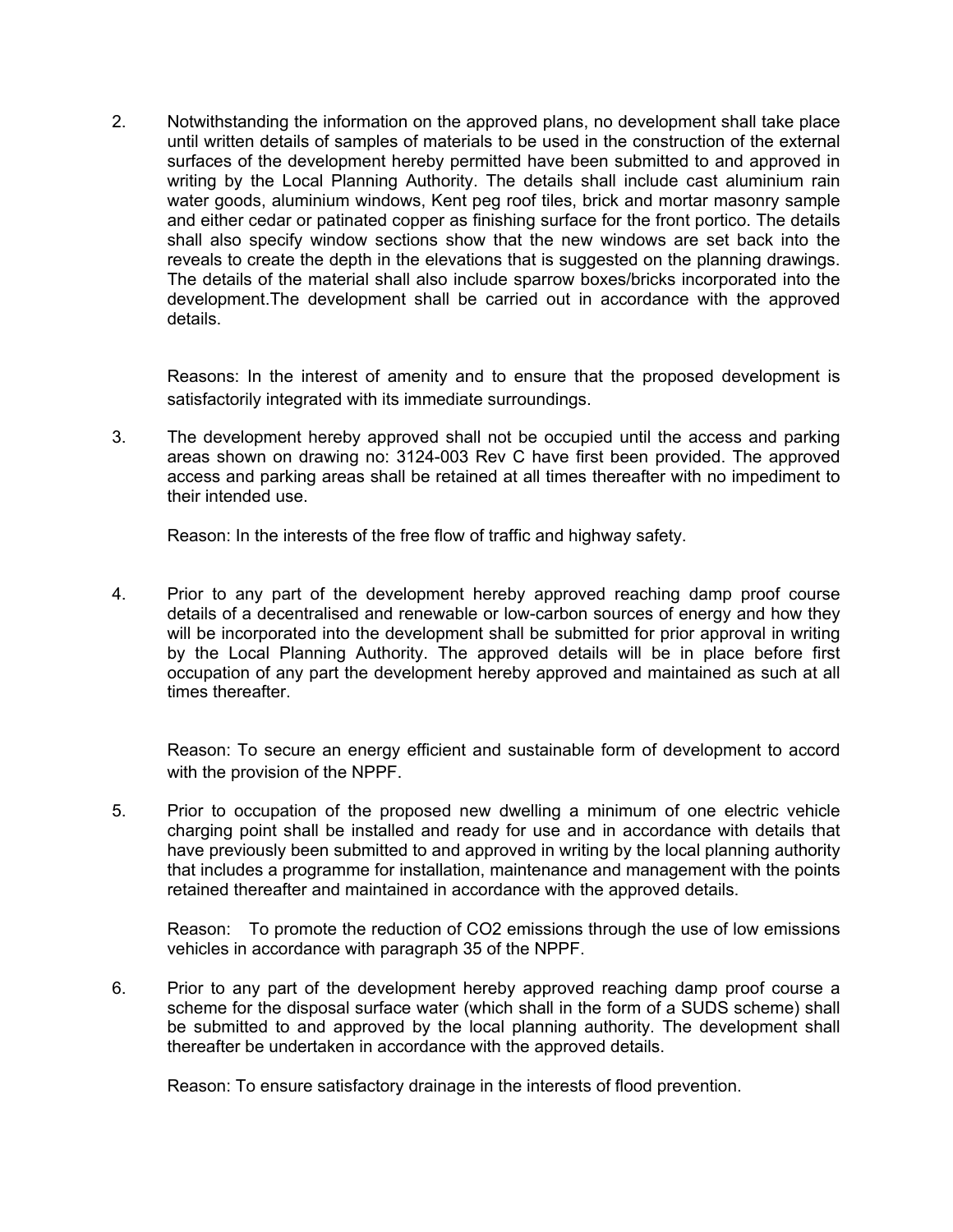2. Notwithstanding the information on the approved plans, no development shall take place until written details of samples of materials to be used in the construction of the external surfaces of the development hereby permitted have been submitted to and approved in writing by the Local Planning Authority. The details shall include cast aluminium rain water goods, aluminium windows, Kent peg roof tiles, brick and mortar masonry sample and either cedar or patinated copper as finishing surface for the front portico. The details shall also specify window sections show that the new windows are set back into the reveals to create the depth in the elevations that is suggested on the planning drawings. The details of the material shall also include sparrow boxes/bricks incorporated into the development.The development shall be carried out in accordance with the approved details.

Reasons: In the interest of amenity and to ensure that the proposed development is satisfactorily integrated with its immediate surroundings.

3. The development hereby approved shall not be occupied until the access and parking areas shown on drawing no: 3124-003 Rev C have first been provided. The approved access and parking areas shall be retained at all times thereafter with no impediment to their intended use.

Reason: In the interests of the free flow of traffic and highway safety.

4. Prior to any part of the development hereby approved reaching damp proof course details of a decentralised and renewable or low-carbon sources of energy and how they will be incorporated into the development shall be submitted for prior approval in writing by the Local Planning Authority. The approved details will be in place before first occupation of any part the development hereby approved and maintained as such at all times thereafter.

Reason: To secure an energy efficient and sustainable form of development to accord with the provision of the NPPF.

5. Prior to occupation of the proposed new dwelling a minimum of one electric vehicle charging point shall be installed and ready for use and in accordance with details that have previously been submitted to and approved in writing by the local planning authority that includes a programme for installation, maintenance and management with the points retained thereafter and maintained in accordance with the approved details.

Reason: To promote the reduction of CO2 emissions through the use of low emissions vehicles in accordance with paragraph 35 of the NPPF.

6. Prior to any part of the development hereby approved reaching damp proof course a scheme for the disposal surface water (which shall in the form of a SUDS scheme) shall be submitted to and approved by the local planning authority. The development shall thereafter be undertaken in accordance with the approved details.

Reason: To ensure satisfactory drainage in the interests of flood prevention.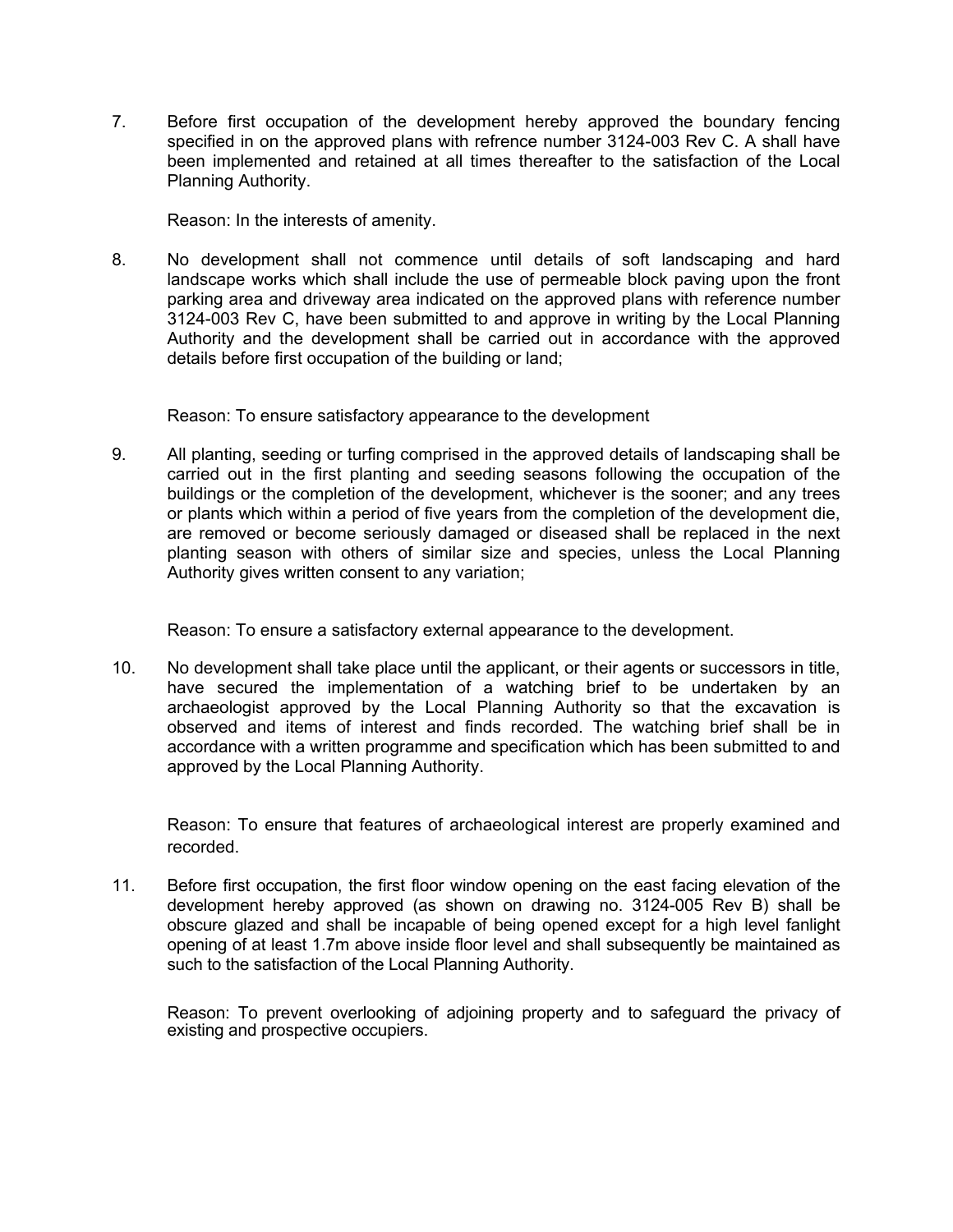7. Before first occupation of the development hereby approved the boundary fencing specified in on the approved plans with refrence number 3124-003 Rev C. A shall have been implemented and retained at all times thereafter to the satisfaction of the Local Planning Authority.

Reason: In the interests of amenity.

8. No development shall not commence until details of soft landscaping and hard landscape works which shall include the use of permeable block paving upon the front parking area and driveway area indicated on the approved plans with reference number 3124-003 Rev C, have been submitted to and approve in writing by the Local Planning Authority and the development shall be carried out in accordance with the approved details before first occupation of the building or land;

Reason: To ensure satisfactory appearance to the development

9. All planting, seeding or turfing comprised in the approved details of landscaping shall be carried out in the first planting and seeding seasons following the occupation of the buildings or the completion of the development, whichever is the sooner; and any trees or plants which within a period of five years from the completion of the development die, are removed or become seriously damaged or diseased shall be replaced in the next planting season with others of similar size and species, unless the Local Planning Authority gives written consent to any variation;

Reason: To ensure a satisfactory external appearance to the development.

10. No development shall take place until the applicant, or their agents or successors in title, have secured the implementation of a watching brief to be undertaken by an archaeologist approved by the Local Planning Authority so that the excavation is observed and items of interest and finds recorded. The watching brief shall be in accordance with a written programme and specification which has been submitted to and approved by the Local Planning Authority.

Reason: To ensure that features of archaeological interest are properly examined and recorded.

11. Before first occupation, the first floor window opening on the east facing elevation of the development hereby approved (as shown on drawing no. 3124-005 Rev B) shall be obscure glazed and shall be incapable of being opened except for a high level fanlight opening of at least 1.7m above inside floor level and shall subsequently be maintained as such to the satisfaction of the Local Planning Authority.

Reason: To prevent overlooking of adjoining property and to safeguard the privacy of existing and prospective occupiers.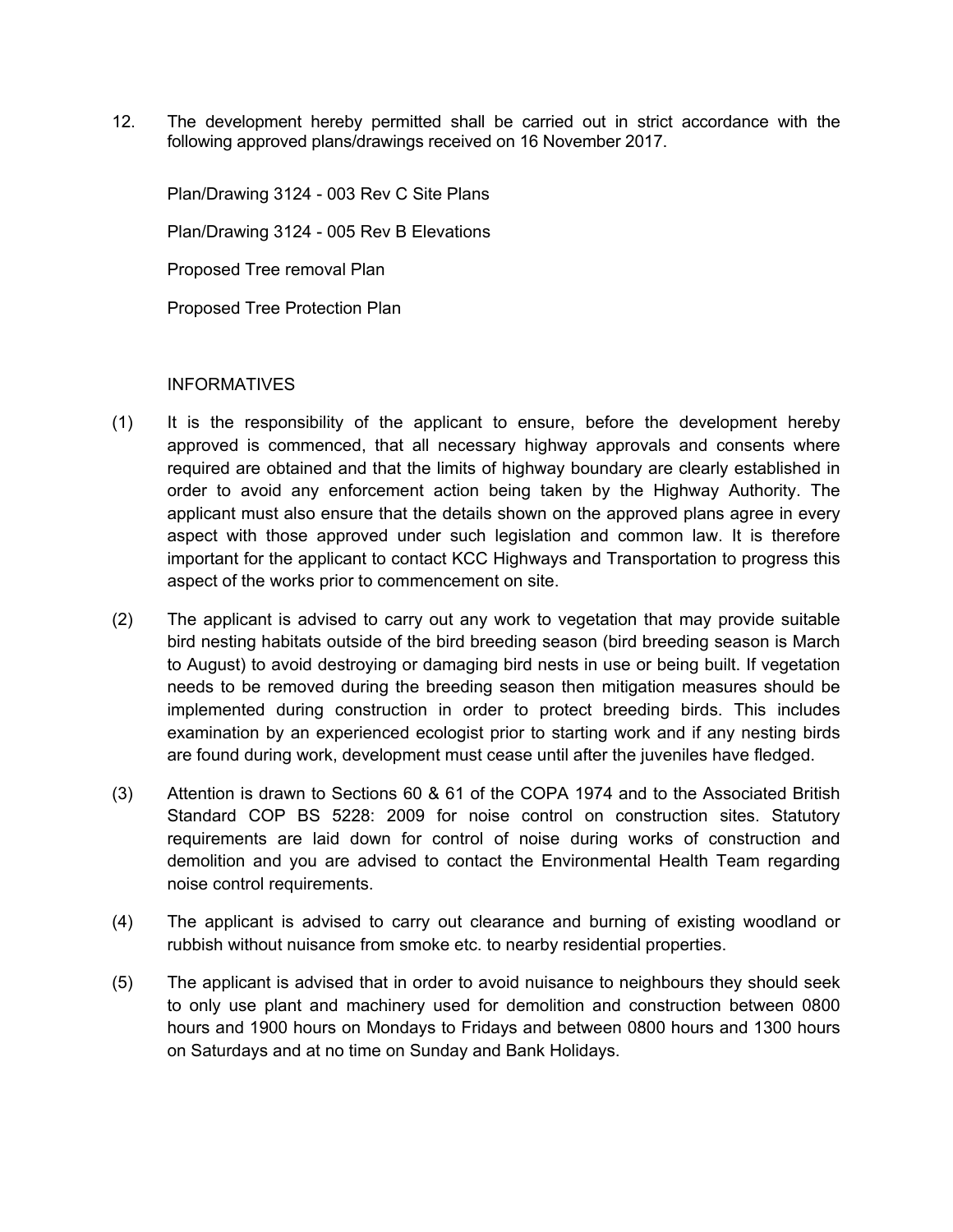12. The development hereby permitted shall be carried out in strict accordance with the following approved plans/drawings received on 16 November 2017.

Plan/Drawing 3124 - 003 Rev C Site Plans Plan/Drawing 3124 - 005 Rev B Elevations Proposed Tree removal Plan Proposed Tree Protection Plan

#### INFORMATIVES

- (1) It is the responsibility of the applicant to ensure, before the development hereby approved is commenced, that all necessary highway approvals and consents where required are obtained and that the limits of highway boundary are clearly established in order to avoid any enforcement action being taken by the Highway Authority. The applicant must also ensure that the details shown on the approved plans agree in every aspect with those approved under such legislation and common law. It is therefore important for the applicant to contact KCC Highways and Transportation to progress this aspect of the works prior to commencement on site.
- (2) The applicant is advised to carry out any work to vegetation that may provide suitable bird nesting habitats outside of the bird breeding season (bird breeding season is March to August) to avoid destroying or damaging bird nests in use or being built. If vegetation needs to be removed during the breeding season then mitigation measures should be implemented during construction in order to protect breeding birds. This includes examination by an experienced ecologist prior to starting work and if any nesting birds are found during work, development must cease until after the juveniles have fledged.
- (3) Attention is drawn to Sections 60 & 61 of the COPA 1974 and to the Associated British Standard COP BS 5228: 2009 for noise control on construction sites. Statutory requirements are laid down for control of noise during works of construction and demolition and you are advised to contact the Environmental Health Team regarding noise control requirements.
- (4) The applicant is advised to carry out clearance and burning of existing woodland or rubbish without nuisance from smoke etc. to nearby residential properties.
- (5) The applicant is advised that in order to avoid nuisance to neighbours they should seek to only use plant and machinery used for demolition and construction between 0800 hours and 1900 hours on Mondays to Fridays and between 0800 hours and 1300 hours on Saturdays and at no time on Sunday and Bank Holidays.